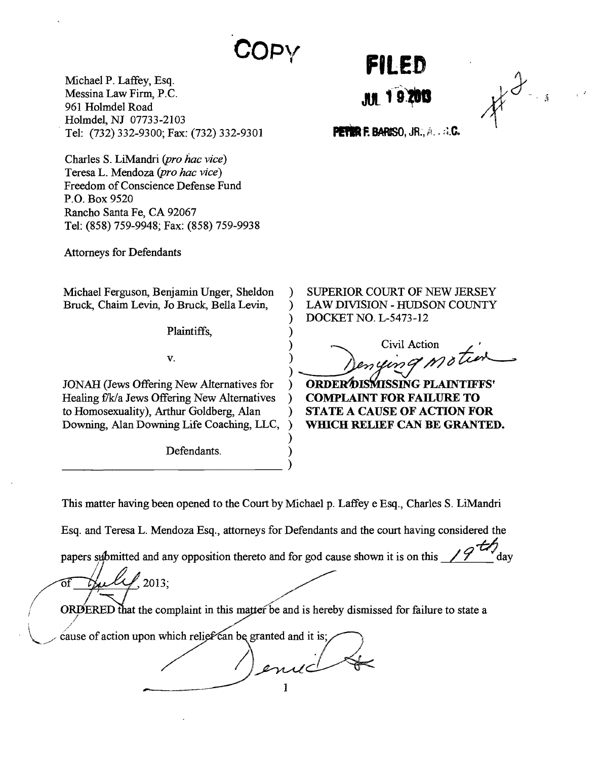## **Copy**

Michael P. Laffey, Esq. Messina Law Firm, **P.C. 961** Holmdel Road Holmdel, **NJ 07733-2 103** Tel: **(732) 332-9300;** Fax: **(732) 332-9301**

Charles **S.** LiMandri *(pro hac vice)* Teresa L. Mendoza *(pro hac vice)* Freedom of Conscience Defense Fund P.O. Box **9520** Rancho Santa Fe, **CA 92067** Tel: *(858) 759-9948;* Fax: **(858)** *759-9938*

Attorneys for Defendants

Michael Ferguson, Benjamin Unger, Sheldon Bruck, Chaim Levin, Jo Bruck Bella Levin,

Plaintiffs,

**V.**

**JONAH** (Jews Offering New Alternatives for Healing f/k/a Jews Offering New Alternatives to Homosexuality), Arthur Goldberg, Alan Downing, Alan Downing Life Coaching, **LLC,**

Defendants.

**FILED**

*A3*

**PETER F. BARISO, JR., A. . A.C.** 

SUPERIOR COURT OF **NEW JERSEY** LAW DIVISION **- HUDSON COUNTY** DOCKET **NO. L-5473-12**

Civil Action

**ORDER\*A)ISZ4SSING PLAINTIFFS' COMPLAINT FOR FAILURE TO STATE A CAUSE OF ACTION FOR WHICH RELIEF CAN BE GRANTED.**

This matter having been opened to the Court **by** Michael **p.** Laffey e Esq., Charles **S.** LiMandri

 $\lambda$  $\lambda$ 

)  $\lambda$ 

Esq. and Teresa L. Mendoza Esq., attorneys for Defendants and the court having considered the

papers submitted and any opposition thereto and for god cause shown it is on this

of **2013;**

ORDERED that the complaint in this matter be and is hereby dismissed for failure to state a

cause of action upon which relief can be granted and it is;